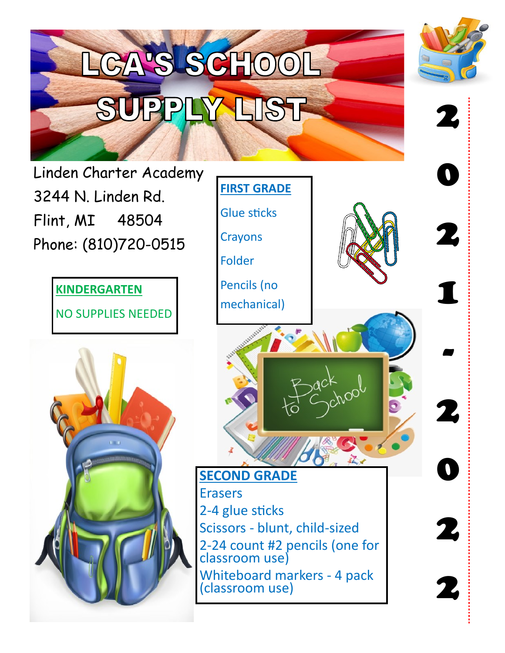

Phone: (810)720-0515

**KINDERGARTEN** NO SUPPLIES NEEDED